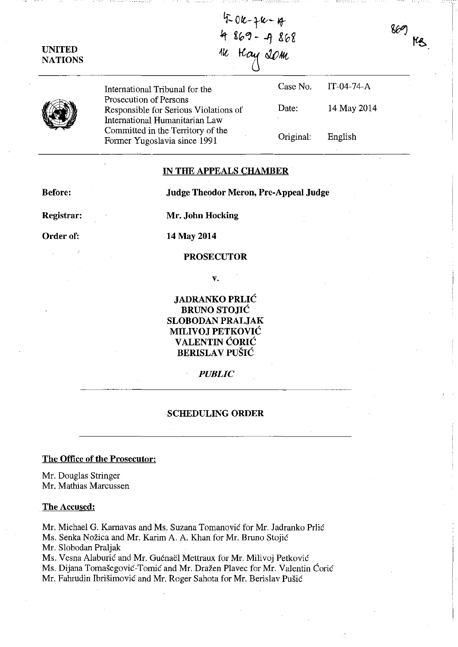## UNITED **NATIONS**

5-0K-7K-17 4 869 - 4 868 w Hay 20m

869

 $MS$ 



International Tribunal for the Prosecution of Persons Responsible for Serious Violations of International Humanitarian Law Committed in the Territory of the Former Yugoslavia since 1991 Case No. Date: Original: IT-04-74-A 14 May 2014 English

### IN THE APPEALS CHAMBER

Before: Judge Theodor Meron, Pre-Appeal Judge

Registrar: Order of:

Mr. John Hocking

# 14 May 2014

### PROSECUTOR

v.

JADRANKO PRLIĆ BRUNO STOJIC SLOBODAN PRALJAK MILIVOJ PETKOVIC VALENTIN CORIC **BERISLAV PUŠIĆ** 

#### *PUBLIC*

#### SCHEDULING ORDER

## The Office of the Prosecutor:

Mr. Douglas Stringer Mr. Mathias Marcussen

#### The Accused:

Mr. Michael G. Karnavas and Ms. Suzana Tomanović for Mr. Jadranko Prlić Ms. Senka Nožica and Mr. Karim A. A. Khan for Mr. Bruno Stojić Mr. Slobodan Praljak Ms. Vesna Alaburić and Mr. Guénaël Mettraux for Mr. Milivoj Petković Ms. Dijana Tomasegovie-Tomie and Mr. Drazen Plavec for Mr. Valentin Corie Mr. Fahrudin Ibrišimović and Mr. Roger Sahota for Mr. Berislav Pušić